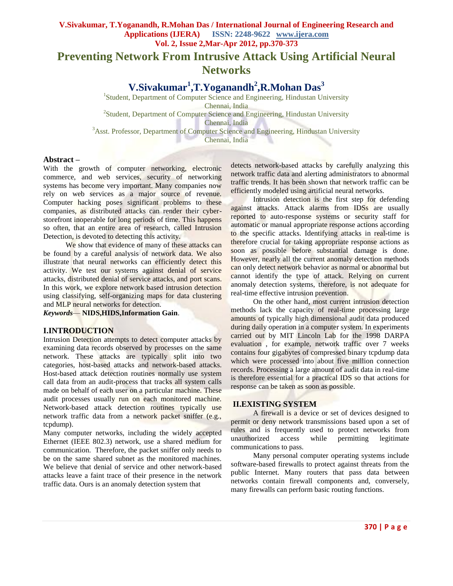**Preventing Network From Intrusive Attack Using Artificial Neural Networks**

**V.Sivakumar<sup>1</sup> ,T.Yoganandh<sup>2</sup> ,R.Mohan Das<sup>3</sup>**

<sup>1</sup>Student, Department of Computer Science and Engineering, Hindustan University Chennai, India <sup>2</sup> Student, Department of Computer Science and Engineering, Hindustan University Chennai, India

<sup>3</sup>Asst. Professor, Department of Computer Science and Engineering, Hindustan University

Chennai, India

## **Abstract –**

With the growth of computer networking, electronic commerce, and web services, security of networking systems has become very important. Many companies now rely on web services as a major source of revenue. Computer hacking poses significant problems to these companies, as distributed attacks can render their cyberstorefront inoperable for long periods of time. This happens so often, that an entire area of research, called Intrusion Detection, is devoted to detecting this activity.

We show that evidence of many of these attacks can be found by a careful analysis of network data. We also illustrate that neural networks can efficiently detect this activity. We test our systems against denial of service attacks, distributed denial of service attacks, and port scans. In this work, we explore network based intrusion detection using classifying, self-organizing maps for data clustering and MLP neural networks for detection.

*Keywords*— **NIDS,HIDS,Information Gain**.

### **I.INTRODUCTION**

Intrusion Detection attempts to detect computer attacks by examining data records observed by processes on the same network. These attacks are typically split into two categories, host-based attacks and network-based attacks. Host-based attack detection routines normally use system call data from an audit-process that tracks all system calls made on behalf of each user on a particular machine. These audit processes usually run on each monitored machine. Network-based attack detection routines typically use network traffic data from a network packet sniffer (e.g., tcpdump).

Many computer networks, including the widely accepted Ethernet (IEEE 802.3) network, use a shared medium for communication. Therefore, the packet sniffer only needs to be on the same shared subnet as the monitored machines. We believe that denial of service and other network-based attacks leave a faint trace of their presence in the network traffic data. Ours is an anomaly detection system that

detects network-based attacks by carefully analyzing this network traffic data and alerting administrators to abnormal traffic trends. It has been shown that network traffic can be efficiently modeled using artificial neural networks.

 Intrusion detection is the first step for defending against attacks. Attack alarms from IDSs are usually reported to auto-response systems or security staff for automatic or manual appropriate response actions according to the specific attacks. Identifying attacks in real-time is therefore crucial for taking appropriate response actions as soon as possible before substantial damage is done. However, nearly all the current anomaly detection methods can only detect network behavior as normal or abnormal but cannot identify the type of attack. Relying on current anomaly detection systems, therefore, is not adequate for real-time effective intrusion prevention.

 On the other hand, most current intrusion detection methods lack the capacity of real-time processing large amounts of typically high dimensional audit data produced during daily operation in a computer system. In experiments carried out by MIT Lincoln Lab for the 1998 DARPA evaluation , for example, network traffic over 7 weeks contains four gigabytes of compressed binary tcpdump data which were processed into about five million connection records. Processing a large amount of audit data in real-time is therefore essential for a practical IDS so that actions for response can be taken as soon as possible.

### **II.EXISTING SYSTEM**

 A firewall is a device or set of devices designed to permit or deny network transmissions based upon a set of rules and is frequently used to protect networks from unauthorized access while permitting legitimate communications to pass.

 Many personal computer operating systems include software-based firewalls to protect against threats from the public Internet. Many routers that pass data between networks contain firewall components and, conversely, many firewalls can perform basic routing functions.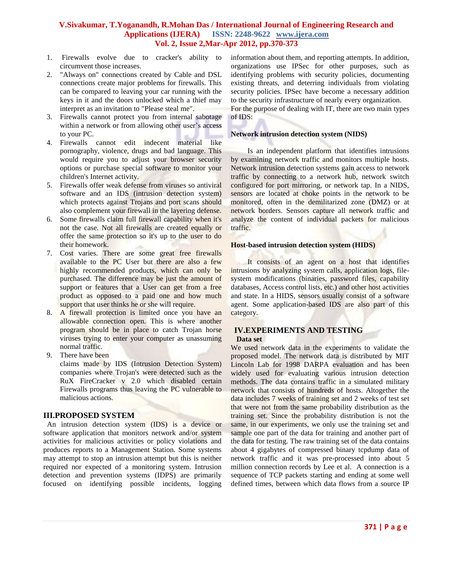- 1. Firewalls evolve due to cracker's ability to circumvent those increases.
- 2. "Always on" connections created by Cable and DSL connections create major problems for firewalls. This can be compared to leaving your car running with the keys in it and the doors unlocked which a thief may interpret as an invitation to "Please steal me".
- 3. Firewalls cannot protect you from internal sabotage within a network or from allowing other user's access to your PC.
- 4. Firewalls cannot edit indecent material like pornography, violence, drugs and bad language. This would require you to adjust your browser security options or purchase special software to monitor your children's Internet activity.
- 5. Firewalls offer weak defense from viruses so antiviral software and an IDS (intrusion detection system) which protects against Trojans and port scans should also complement your firewall in the layering defense.
- 6. Some firewalls claim full firewall capability when it's not the case. Not all firewalls are created equally or offer the same protection so it's up to the user to do their homework.
- 7. Cost varies. There are some great free firewalls available to the PC User but there are also a few highly recommended products, which can only be purchased. The difference may be just the amount of support or features that a User can get from a free product as opposed to a paid one and how much support that user thinks he or she will require.
- 8. A firewall protection is limited once you have an allowable connection open. This is where another program should be in place to catch Trojan horse viruses trying to enter your computer as unassuming normal traffic.
- 9. There have been claims made by IDS (Intrusion Detection System) companies where Trojan's were detected such as the RuX FireCracker v 2.0 which disabled certain Firewalls programs thus leaving the PC vulnerable to malicious actions.

## **III.PROPOSED SYSTEM**

An intrusion detection system (IDS) is a device or software application that monitors network and/or system activities for malicious activities or policy violations and produces reports to a Management Station. Some systems may attempt to stop an intrusion attempt but this is neither required nor expected of a monitoring system. Intrusion detection and prevention systems (IDPS) are primarily focused on identifying possible incidents, logging

information about them, and reporting attempts. In addition, organizations use IPSec for other purposes, such as identifying problems with security policies, documenting existing threats, and deterring individuals from violating security policies. IPSec have become a necessary addition to the security infrastructure of nearly every organization. For the purpose of dealing with IT, there are two main types of IDS:

## **Network intrusion detection system (NIDS)**

 Is an independent platform that identifies intrusions by examining network traffic and monitors multiple hosts. Network intrusion detection systems gain access to network traffic by connecting to a network hub, network switch configured for port mirroring, or network tap. In a NIDS, sensors are located at choke points in the network to be monitored, often in the demilitarized zone (DMZ) or at network borders. Sensors capture all network traffic and analyze the content of individual packets for malicious traffic.

## **Host-based intrusion detection system (HIDS)**

 It consists of an agent on a host that identifies intrusions by analyzing system calls, application logs, filesystem modifications (binaries, password files, capability databases, Access control lists, etc.) and other host activities and state. In a HIDS, sensors usually consist of a software agent. Some application-based IDS are also part of this category.

# **IV.EXPERIMENTS AND TESTING**

## **Data set**

We used network data in the experiments to validate the proposed model. The network data is distributed by MIT Lincoln Lab for 1998 DARPA evaluation and has been widely used for evaluating various intrusion detection methods. The data contains traffic in a simulated military network that consists of hundreds of hosts. Altogether the data includes 7 weeks of training set and 2 weeks of test set that were not from the same probability distribution as the training set. Since the probability distribution is not the same, in our experiments, we only use the training set and sample one part of the data for training and another part of the data for testing. The raw training set of the data contains about 4 gigabytes of compressed binary tcpdump data of network traffic and it was pre-processed into about 5 million connection records by Lee et al. A connection is a sequence of TCP packets starting and ending at some well defined times, between which data flows from a source IP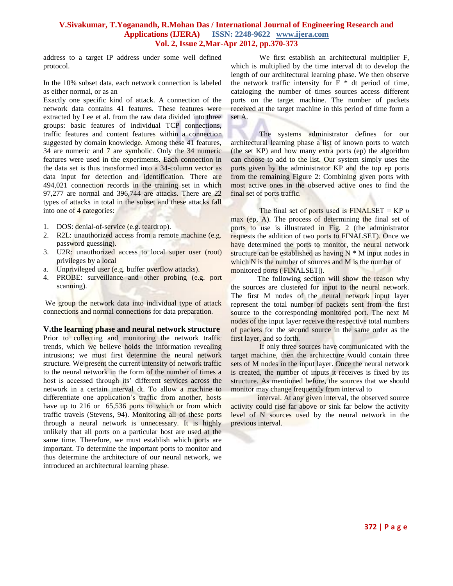address to a target IP address under some well defined protocol.

In the 10% subset data, each network connection is labeled as either normal, or as an

Exactly one specific kind of attack. A connection of the network data contains 41 features. These features were extracted by Lee et al. from the raw data divided into three groups: basic features of individual TCP connections, traffic features and content features within a connection suggested by domain knowledge. Among these 41 features, 34 are numeric and 7 are symbolic. Only the 34 numeric features were used in the experiments. Each connection in the data set is thus transformed into a 34-column vector as data input for detection and identification. There are 494,021 connection records in the training set in which 97,277 are normal and 396,744 are attacks. There are 22 types of attacks in total in the subset and these attacks fall into one of 4 categories:

- 1. DOS: denial-of-service (e.g. teardrop).
- 2. R2L: unauthorized access from a remote machine (e.g. password guessing).
- 3. U2R: unauthorized access to local super user (root) privileges by a local
- a. Unprivileged user (e.g. buffer overflow attacks).
- 4. PROBE: surveillance and other probing (e.g. port scanning).

We group the network data into individual type of attack connections and normal connections for data preparation.

**V.the learning phase and neural network structure** Prior to collecting and monitoring the network traffic trends, which we believe holds the information revealing intrusions; we must first determine the neural network structure. We present the current intensity of network traffic to the neural network in the form of the number of times a host is accessed through its' different services across the network in a certain interval dt. To allow a machine to differentiate one application's traffic from another, hosts have up to 216 or 65,536 ports to which or from which traffic travels (Stevens, 94). Monitoring all of these ports through a neural network is unnecessary. It is highly unlikely that all ports on a particular host are used at the same time. Therefore, we must establish which ports are important. To determine the important ports to monitor and thus determine the architecture of our neural network, we introduced an architectural learning phase.

We first establish an architectural multiplier F, which is multiplied by the time interval dt to develop the length of our architectural learning phase. We then observe the network traffic intensity for  $F * dt$  period of time, cataloging the number of times sources access different ports on the target machine. The number of packets received at the target machine in this period of time form a set A.

The systems administrator defines for our architectural learning phase a list of known ports to watch (the set KP) and how many extra ports (ep) the algorithm can choose to add to the list. Our system simply uses the ports given by the administrator KP and the top ep ports from the remaining Figure 2: Combining given ports with most active ones in the observed active ones to find the final set of ports traffic.

The final set of ports used is  $FINALSET = KP v$ max (ep, A). The process of determining the final set of ports to use is illustrated in Fig. 2 (the administrator requests the addition of two ports to FINALSET). Once we have determined the ports to monitor, the neural network structure can be established as having  $N * M$  input nodes in which N is the number of sources and M is the number of monitored ports (|FINALSET|).

The following section will show the reason why the sources are clustered for input to the neural network. The first M nodes of the neural network input layer represent the total number of packets sent from the first source to the corresponding monitored port. The next M nodes of the input layer receive the respective total numbers of packets for the second source in the same order as the first layer, and so forth.

If only three sources have communicated with the target machine, then the architecture would contain three sets of M nodes in the input layer. Once the neural network is created, the number of inputs it receives is fixed by its structure. As mentioned before, the sources that we should monitor may change frequently from interval to

interval. At any given interval, the observed source activity could rise far above or sink far below the activity level of N sources used by the neural network in the previous interval.